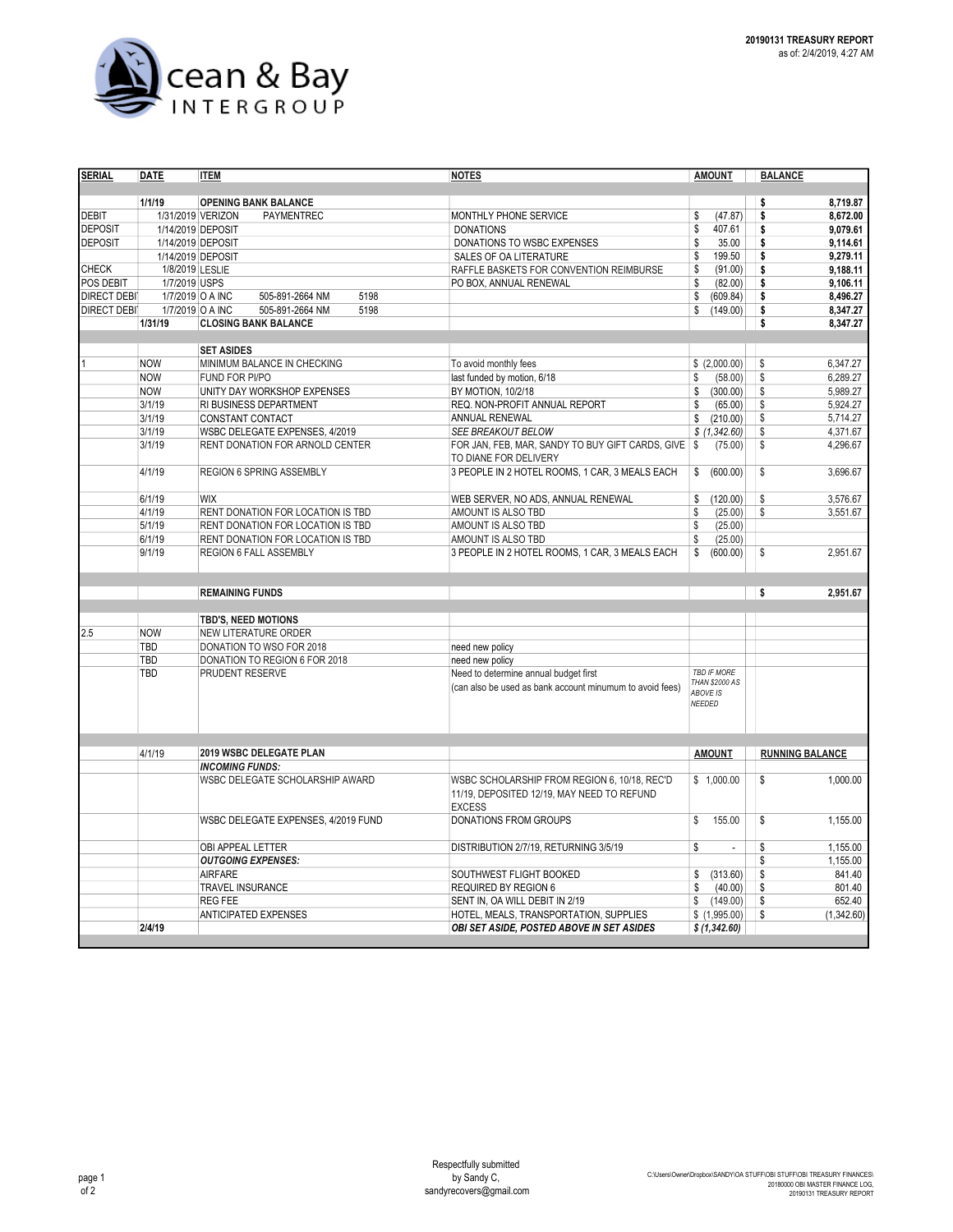

| <b>SERIAL</b>      | <b>DATE</b>       | <b>ITEM</b>                         | <b>NOTES</b>                                             | <b>AMOUNT</b>                  | <b>BALANCE</b>         |
|--------------------|-------------------|-------------------------------------|----------------------------------------------------------|--------------------------------|------------------------|
|                    |                   |                                     |                                                          |                                |                        |
|                    | 1/1/19            | <b>OPENING BANK BALANCE</b>         |                                                          |                                | 8,719.87<br>\$         |
| <b>DEBIT</b>       | 1/31/2019 VERIZON | <b>PAYMENTREC</b>                   | MONTHLY PHONE SERVICE                                    | \$<br>(47.87)                  | \$<br>8,672.00         |
| <b>DEPOSIT</b>     | 1/14/2019 DEPOSIT |                                     | <b>DONATIONS</b>                                         | \$<br>407.61                   | \$<br>9.079.61         |
| <b>DEPOSIT</b>     | 1/14/2019 DEPOSIT |                                     | DONATIONS TO WSBC EXPENSES                               | \$<br>35.00                    | \$<br>9,114.61         |
|                    | 1/14/2019 DEPOSIT |                                     | SALES OF OA LITERATURE                                   | \$<br>199.50                   | \$<br>9,279.11         |
| <b>CHECK</b>       | 1/8/2019 LESLIE   |                                     | RAFFLE BASKETS FOR CONVENTION REIMBURSE                  | \$<br>(91.00)                  | \$<br>9,188.11         |
| POS DEBIT          | 1/7/2019 USPS     |                                     | PO BOX, ANNUAL RENEWAL                                   | \$<br>(82.00)                  | 9,106.11<br>\$         |
| <b>DIRECT DEBI</b> | 1/7/2019 O A INC  | 5198<br>505-891-2664 NM             |                                                          | \$<br>(609.84)                 | \$<br>8,496.27         |
| <b>DIRECT DEBI</b> | 1/7/2019 O A INC  | 5198<br>505-891-2664 NM             |                                                          | \$<br>(149.00)                 | \$<br>8,347.27         |
|                    | 1/31/19           | <b>CLOSING BANK BALANCE</b>         |                                                          |                                | \$<br>8,347.27         |
|                    |                   |                                     |                                                          |                                |                        |
|                    |                   | <b>SET ASIDES</b>                   |                                                          |                                |                        |
|                    | <b>NOW</b>        | MINIMUM BALANCE IN CHECKING         | To avoid monthly fees                                    | \$(2,000.00)                   | \$<br>6,347.27         |
|                    | <b>NOW</b>        | FUND FOR PI/PO                      | last funded by motion, 6/18                              | (58.00)<br>\$                  | \$<br>6,289.27         |
|                    | <b>NOW</b>        | UNITY DAY WORKSHOP EXPENSES         | BY MOTION, 10/2/18                                       | \$<br>(300.00)                 | \$<br>5,989.27         |
|                    | 3/1/19            | RI BUSINESS DEPARTMENT              | REQ. NON-PROFIT ANNUAL REPORT                            | (65.00)<br>\$                  | \$<br>5,924.27         |
|                    | 3/1/19            | CONSTANT CONTACT                    | ANNUAL RENEWAL                                           | \$<br>(210.00)                 | \$<br>5,714.27         |
|                    | 3/1/19            | WSBC DELEGATE EXPENSES, 4/2019      | <b>SEE BREAKOUT BELOW</b>                                | \$(1,342.60)                   | \$<br>4,371.67         |
|                    | 3/1/19            | RENT DONATION FOR ARNOLD CENTER     | FOR JAN, FEB, MAR, SANDY TO BUY GIFT CARDS, GIVE \$      | (75.00)                        | \$<br>4,296.67         |
|                    |                   |                                     | TO DIANE FOR DELIVERY                                    |                                |                        |
|                    | 4/1/19            | REGION 6 SPRING ASSEMBLY            | 3 PEOPLE IN 2 HOTEL ROOMS, 1 CAR, 3 MEALS EACH           | (600.00)<br>\$                 | \$<br>3,696.67         |
|                    |                   |                                     |                                                          |                                |                        |
|                    | 6/1/19            | <b>WIX</b>                          | WEB SERVER, NO ADS, ANNUAL RENEWAL                       | \$<br>(120.00)                 | \$<br>3.576.67         |
|                    | 4/1/19            | RENT DONATION FOR LOCATION IS TBD   | AMOUNT IS ALSO TBD                                       | \$<br>(25.00)                  | \$<br>3.551.67         |
|                    | 5/1/19            | RENT DONATION FOR LOCATION IS TBD   | AMOUNT IS ALSO TBD                                       | \$<br>(25.00)                  |                        |
|                    | 6/1/19            | RENT DONATION FOR LOCATION IS TBD   | AMOUNT IS ALSO TBD                                       | \$<br>(25.00)                  |                        |
|                    | 9/1/19            | REGION 6 FALL ASSEMBLY              | 3 PEOPLE IN 2 HOTEL ROOMS, 1 CAR, 3 MEALS EACH           | \$<br>(600.00)                 | \$<br>2,951.67         |
|                    |                   |                                     |                                                          |                                |                        |
|                    |                   |                                     |                                                          |                                |                        |
|                    |                   | <b>REMAINING FUNDS</b>              |                                                          |                                | \$<br>2,951.67         |
|                    |                   |                                     |                                                          |                                |                        |
|                    |                   | TBD'S, NEED MOTIONS                 |                                                          |                                |                        |
| 2.5                | <b>NOW</b>        | NEW LITERATURE ORDER                |                                                          |                                |                        |
|                    | TBD               | DONATION TO WSO FOR 2018            | need new policy                                          |                                |                        |
|                    | TBD               | DONATION TO REGION 6 FOR 2018       | need new policy                                          |                                |                        |
|                    | TBD               | PRUDENT RESERVE                     | Need to determine annual budget first                    | <b>TBD IF MORE</b>             |                        |
|                    |                   |                                     | (can also be used as bank account minumum to avoid fees) | <b>THAN \$2000 AS</b>          |                        |
|                    |                   |                                     |                                                          | ABOVE IS<br>NEEDED             |                        |
|                    |                   |                                     |                                                          |                                |                        |
|                    |                   |                                     |                                                          |                                |                        |
|                    |                   |                                     |                                                          |                                |                        |
|                    | 4/1/19            | 2019 WSBC DELEGATE PLAN             |                                                          | <b>AMOUNT</b>                  | <b>RUNNING BALANCE</b> |
|                    |                   | <b>INCOMING FUNDS:</b>              |                                                          |                                |                        |
|                    |                   | WSBC DELEGATE SCHOLARSHIP AWARD     | WSBC SCHOLARSHIP FROM REGION 6, 10/18, REC'D             | \$1,000.00                     | \$<br>1,000.00         |
|                    |                   |                                     | 11/19, DEPOSITED 12/19, MAY NEED TO REFUND               |                                |                        |
|                    |                   |                                     | <b>EXCESS</b>                                            |                                |                        |
|                    |                   | WSBC DELEGATE EXPENSES, 4/2019 FUND | <b>DONATIONS FROM GROUPS</b>                             | \$<br>155.00                   | \$<br>1,155.00         |
|                    |                   |                                     |                                                          |                                |                        |
|                    |                   | OBI APPEAL LETTER                   | DISTRIBUTION 2/7/19, RETURNING 3/5/19                    | \$<br>$\overline{\phantom{a}}$ | 1,155.00<br>\$         |
|                    |                   | <b>OUTGOING EXPENSES:</b>           |                                                          |                                | \$<br>1,155.00         |
|                    |                   | <b>AIRFARE</b>                      | SOUTHWEST FLIGHT BOOKED                                  | \$<br>(313.60)                 | \$<br>841.40           |
|                    |                   | TRAVEL INSURANCE                    | <b>REQUIRED BY REGION 6</b>                              | \$<br>(40.00)                  | 801.40<br>\$           |
|                    |                   | <b>REG FEE</b>                      | SENT IN, OA WILL DEBIT IN 2/19                           | \$<br>(149.00)                 | \$<br>652.40           |
|                    |                   | <b>ANTICIPATED EXPENSES</b>         | HOTEL, MEALS, TRANSPORTATION, SUPPLIES                   | \$(1,995.00)                   | \$<br>(1,342.60)       |
|                    | 2/4/19            |                                     | <b>OBI SET ASIDE, POSTED ABOVE IN SET ASIDES</b>         | \$(1,342.60)                   |                        |
|                    |                   |                                     |                                                          |                                |                        |